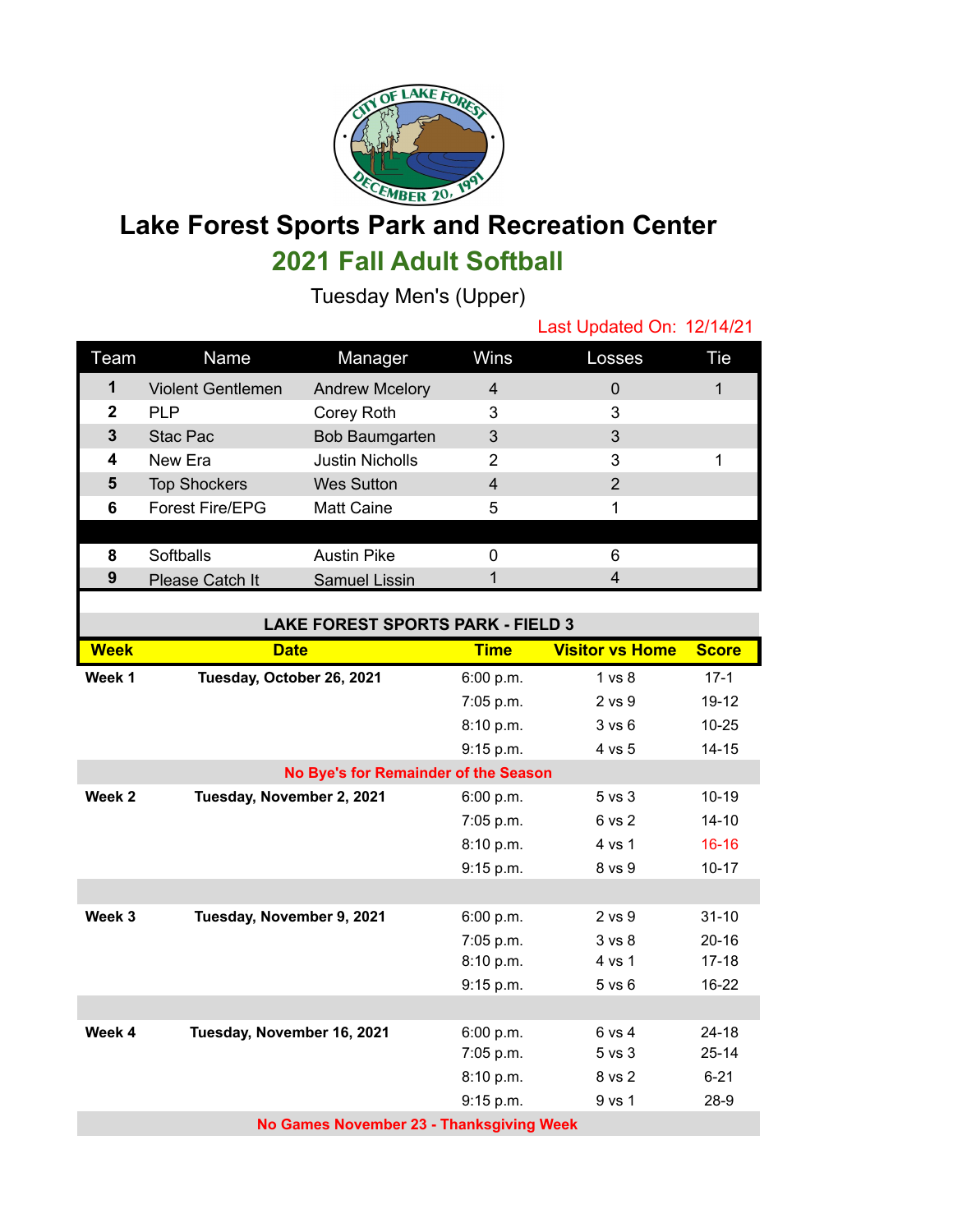

## **Lake Forest Sports Park and Recreation Center 2021 Fall Adult Softball**

Tuesday Men's (Upper)

Last Updated On: 12/14/21 Team Name Manager Wins Losses Tie Violent Gentlemen Andrew Mcelory 4 0 0 1 PLP Corey Roth 3 3 Stac Pac Bob Baumgarten 3 3 New Era **Justin Nicholls** 2 3 1 Top Shockers Wes Sutton 4 2 Forest Fire/EPG Matt Caine 5 1 Softballs Austin Pike 0 6 Please Catch It Samuel Lissin 1 4

| <b>LAKE FOREST SPORTS PARK - FIELD 3</b> |                            |             |                        |              |  |  |  |  |
|------------------------------------------|----------------------------|-------------|------------------------|--------------|--|--|--|--|
| <b>Week</b>                              | <b>Date</b>                | <b>Time</b> | <b>Visitor vs Home</b> | <b>Score</b> |  |  |  |  |
| Week 1                                   | Tuesday, October 26, 2021  | 6:00 p.m.   | $1 \text{ vs } 8$      | $17-1$       |  |  |  |  |
|                                          |                            | 7:05 p.m.   | 2 vs 9                 | $19 - 12$    |  |  |  |  |
|                                          |                            | 8:10 p.m.   | 3 v s 6                | $10 - 25$    |  |  |  |  |
|                                          |                            | 9:15 p.m.   | 4 vs 5                 | $14 - 15$    |  |  |  |  |
| No Bye's for Remainder of the Season     |                            |             |                        |              |  |  |  |  |
| Week 2                                   | Tuesday, November 2, 2021  | 6:00 p.m.   | $5$ vs $3$             | $10 - 19$    |  |  |  |  |
|                                          |                            | 7:05 p.m.   | 6 vs 2                 | $14 - 10$    |  |  |  |  |
|                                          |                            | 8:10 p.m.   | 4 vs 1                 | $16 - 16$    |  |  |  |  |
|                                          |                            | 9:15 p.m.   | 8 vs 9                 | $10 - 17$    |  |  |  |  |
|                                          |                            |             |                        |              |  |  |  |  |
| Week 3                                   | Tuesday, November 9, 2021  | 6:00 p.m.   | $2$ vs $9$             | $31 - 10$    |  |  |  |  |
|                                          |                            | 7:05 p.m.   | $3 \text{ vs } 8$      | $20 - 16$    |  |  |  |  |
|                                          |                            | 8:10 p.m.   | 4 vs 1                 | $17 - 18$    |  |  |  |  |
|                                          |                            | 9:15 p.m.   | $5$ vs $6$             | $16 - 22$    |  |  |  |  |
|                                          |                            |             |                        |              |  |  |  |  |
| Week 4                                   | Tuesday, November 16, 2021 | 6:00 p.m.   | 6 vs 4                 | $24 - 18$    |  |  |  |  |
|                                          |                            | 7:05 p.m.   | 5 vs 3                 | $25 - 14$    |  |  |  |  |
|                                          |                            | 8:10 p.m.   | 8 vs 2                 | $6 - 21$     |  |  |  |  |
|                                          |                            | 9:15 p.m.   | 9 vs 1                 | $28-9$       |  |  |  |  |
| No Games November 23 - Thanksgiving Week |                            |             |                        |              |  |  |  |  |